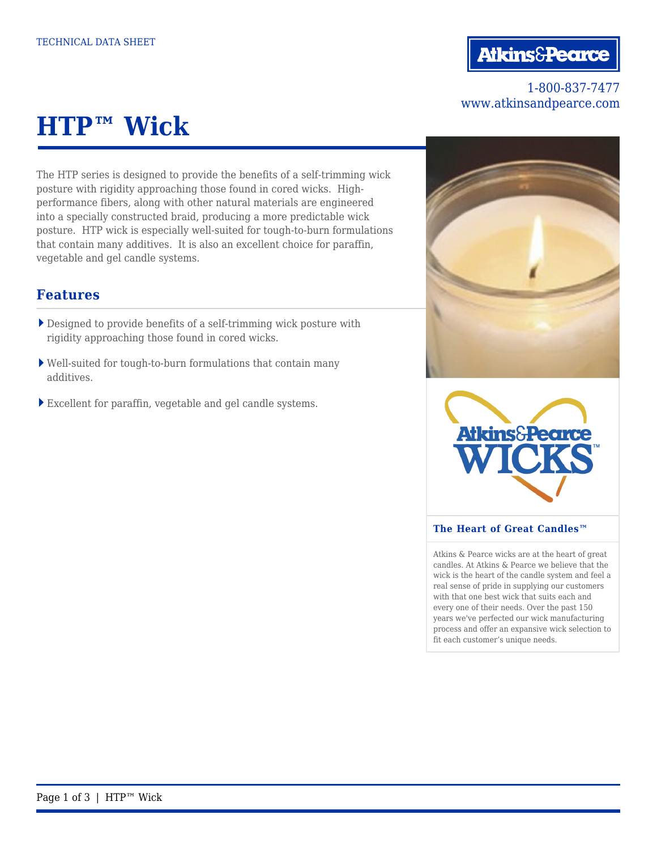# **Atkins&Pearce**

### 1-800-837-7477 www.atkinsandpearce.com

# **HTP™ Wick**

The HTP series is designed to provide the benefits of a self-trimming wick posture with rigidity approaching those found in cored wicks. Highperformance fibers, along with other natural materials are engineered into a specially constructed braid, producing a more predictable wick posture. HTP wick is especially well-suited for tough-to-burn formulations that contain many additives. It is also an excellent choice for paraffin, vegetable and gel candle systems.

### **Features**

- Designed to provide benefits of a self-trimming wick posture with rigidity approaching those found in cored wicks.
- Well-suited for tough-to-burn formulations that contain many additives.
- Excellent for paraffin, vegetable and gel candle systems.





#### **The Heart of Great Candles™**

Atkins & Pearce wicks are at the heart of great candles. At Atkins & Pearce we believe that the wick is the heart of the candle system and feel a real sense of pride in supplying our customers with that one best wick that suits each and every one of their needs. Over the past 150 years we've perfected our wick manufacturing process and offer an expansive wick selection to fit each customer's unique needs.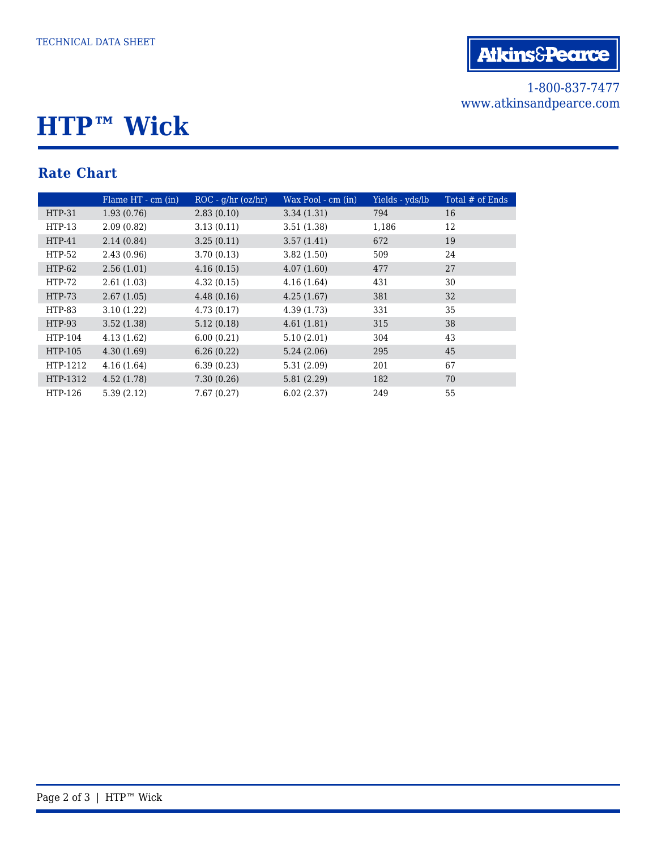## 1-800-837-7477 www.atkinsandpearce.com

# **HTP™ Wick**

# **Rate Chart**

|          | Flame HT - cm (in) | $ROC - q/hr (oz/hr)$ | Wax Pool - cm (in) | Yields - yds/lb | Total # of Ends |
|----------|--------------------|----------------------|--------------------|-----------------|-----------------|
| $HTP-31$ | 1.93(0.76)         | 2.83(0.10)           | 3.34(1.31)         | 794             | 16              |
| $HTP-13$ | 2.09(0.82)         | 3.13(0.11)           | 3.51(1.38)         | 1,186           | 12              |
| $HTP-41$ | 2.14(0.84)         | 3.25(0.11)           | 3.57(1.41)         | 672             | 19              |
| $HTP-52$ | 2.43(0.96)         | 3.70(0.13)           | 3.82(1.50)         | 509             | 24              |
| $HTP-62$ | 2.56(1.01)         | 4.16(0.15)           | 4.07(1.60)         | 477             | 27              |
| $HTP-72$ | 2.61(1.03)         | 4.32(0.15)           | 4.16(1.64)         | 431             | 30              |
| HTP-73   | 2.67(1.05)         | 4.48(0.16)           | 4.25(1.67)         | 381             | 32              |
| HTP-83   | 3.10(1.22)         | 4.73(0.17)           | 4.39(1.73)         | 331             | 35              |
| $HTP-93$ | 3.52(1.38)         | 5.12(0.18)           | 4.61(1.81)         | 315             | 38              |
| HTP-104  | 4.13(1.62)         | 6.00(0.21)           | 5.10(2.01)         | 304             | 43              |
| HTP-105  | 4.30(1.69)         | 6.26(0.22)           | 5.24(2.06)         | 295             | 45              |
| HTP-1212 | 4.16(1.64)         | 6.39(0.23)           | 5.31(2.09)         | 201             | 67              |
| HTP-1312 | 4.52(1.78)         | 7.30(0.26)           | 5.81(2.29)         | 182             | 70              |
| HTP-126  | 5.39(2.12)         | 7.67(0.27)           | 6.02(2.37)         | 249             | 55              |